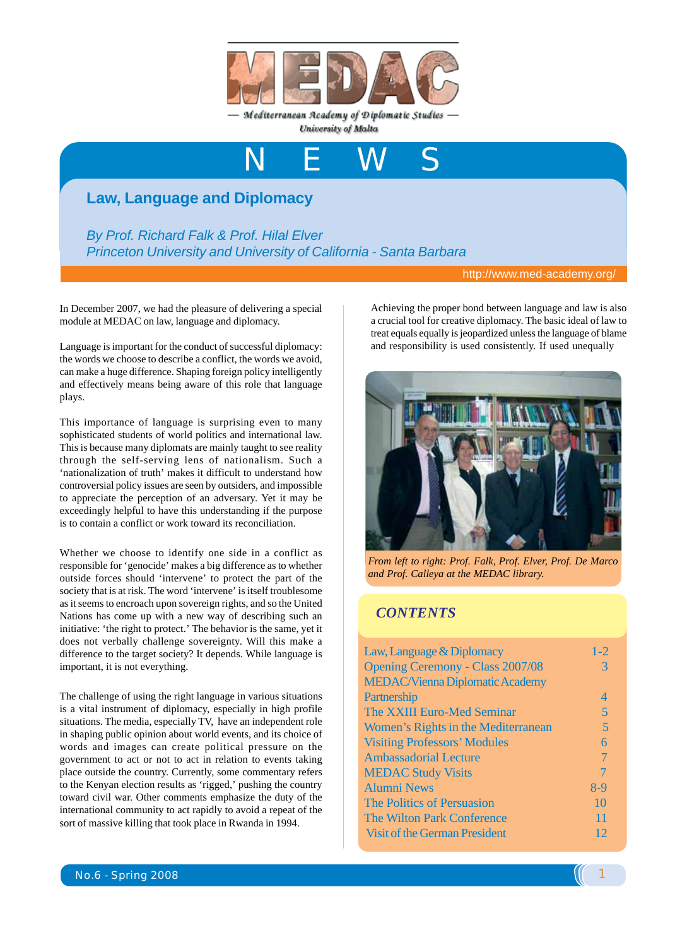

Mediterranean Academy of Diplomatic Studies University of Malta

NEWS

## **Law, Language and Diplomacy**

*By Prof. Richard Falk & Prof. Hilal Elver Princeton University and University of California - Santa Barbara*

http://www.med-academy.org/

In December 2007, we had the pleasure of delivering a special module at MEDAC on law, language and diplomacy.

Language is important for the conduct of successful diplomacy: the words we choose to describe a conflict, the words we avoid, can make a huge difference. Shaping foreign policy intelligently and effectively means being aware of this role that language plays.

This importance of language is surprising even to many sophisticated students of world politics and international law. This is because many diplomats are mainly taught to see reality through the self-serving lens of nationalism. Such a 'nationalization of truth' makes it difficult to understand how controversial policy issues are seen by outsiders, and impossible to appreciate the perception of an adversary. Yet it may be exceedingly helpful to have this understanding if the purpose is to contain a conflict or work toward its reconciliation.

Whether we choose to identify one side in a conflict as responsible for 'genocide' makes a big difference as to whether outside forces should 'intervene' to protect the part of the society that is at risk. The word 'intervene' is itself troublesome as it seems to encroach upon sovereign rights, and so the United Nations has come up with a new way of describing such an initiative: 'the right to protect.' The behavior is the same, yet it does not verbally challenge sovereignty. Will this make a difference to the target society? It depends. While language is important, it is not everything.

The challenge of using the right language in various situations is a vital instrument of diplomacy, especially in high profile situations. The media, especially TV, have an independent role in shaping public opinion about world events, and its choice of words and images can create political pressure on the government to act or not to act in relation to events taking place outside the country. Currently, some commentary refers to the Kenyan election results as 'rigged,' pushing the country toward civil war. Other comments emphasize the duty of the international community to act rapidly to avoid a repeat of the sort of massive killing that took place in Rwanda in 1994.

Achieving the proper bond between language and law is also a crucial tool for creative diplomacy. The basic ideal of law to treat equals equally is jeopardized unless the language of blame and responsibility is used consistently. If used unequally



*From left to right: Prof. Falk, Prof. Elver, Prof. De Marco and Prof. Calleya at the MEDAC library.*

#### *CONTENTS*

| Law, Language & Diplomacy               | $1 - 2$        |
|-----------------------------------------|----------------|
| <b>Opening Ceremony - Class 2007/08</b> | 3              |
| <b>MEDAC/Vienna Diplomatic Academy</b>  |                |
| Partnership                             | $\overline{A}$ |
| The XXIII Euro-Med Seminar              | 5              |
| Women's Rights in the Mediterranean     | 5              |
| <b>Visiting Professors' Modules</b>     | 6              |
| <b>Ambassadorial Lecture</b>            |                |
| <b>MEDAC Study Visits</b>               |                |
| <b>Alumni News</b>                      | 8-9            |
| The Politics of Persuasion              | 10             |
| <b>The Wilton Park Conference</b>       | 11             |
| <b>Visit of the German President</b>    | 12             |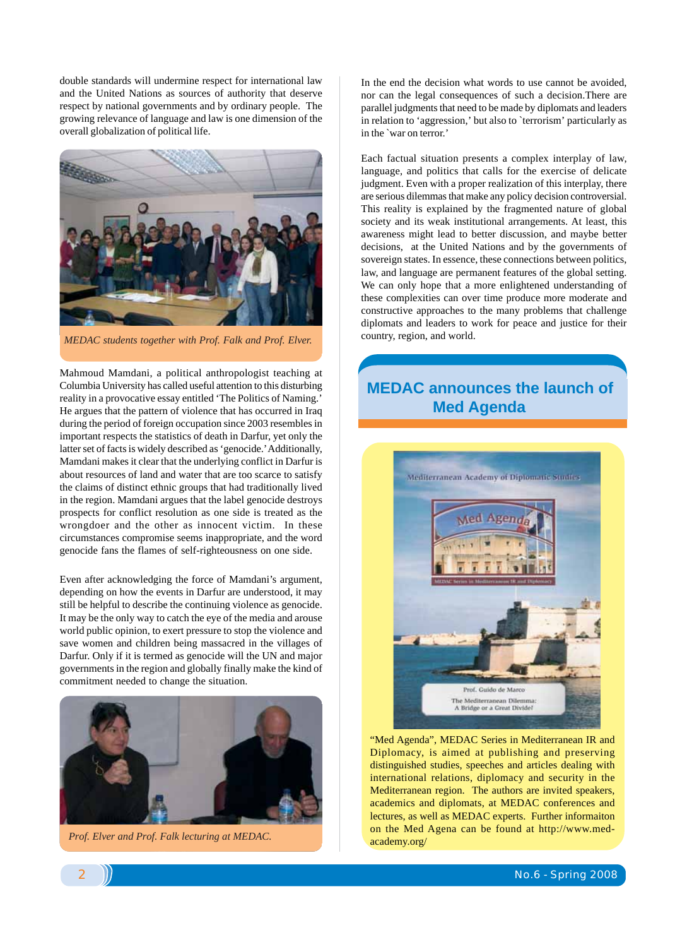double standards will undermine respect for international law and the United Nations as sources of authority that deserve respect by national governments and by ordinary people. The growing relevance of language and law is one dimension of the overall globalization of political life.



*MEDAC students together with Prof. Falk and Prof. Elver.*

Mahmoud Mamdani, a political anthropologist teaching at Columbia University has called useful attention to this disturbing reality in a provocative essay entitled 'The Politics of Naming.' He argues that the pattern of violence that has occurred in Iraq during the period of foreign occupation since 2003 resembles in important respects the statistics of death in Darfur, yet only the latter set of facts is widely described as 'genocide.' Additionally, Mamdani makes it clear that the underlying conflict in Darfur is about resources of land and water that are too scarce to satisfy the claims of distinct ethnic groups that had traditionally lived in the region. Mamdani argues that the label genocide destroys prospects for conflict resolution as one side is treated as the wrongdoer and the other as innocent victim. In these circumstances compromise seems inappropriate, and the word genocide fans the flames of self-righteousness on one side.

Even after acknowledging the force of Mamdani's argument, depending on how the events in Darfur are understood, it may still be helpful to describe the continuing violence as genocide. It may be the only way to catch the eye of the media and arouse world public opinion, to exert pressure to stop the violence and save women and children being massacred in the villages of Darfur. Only if it is termed as genocide will the UN and major governments in the region and globally finally make the kind of commitment needed to change the situation.



 *Prof. Elver and Prof. Falk lecturing at MEDAC.*

In the end the decision what words to use cannot be avoided, nor can the legal consequences of such a decision.There are parallel judgments that need to be made by diplomats and leaders in relation to 'aggression,' but also to `terrorism' particularly as in the `war on terror.'

Each factual situation presents a complex interplay of law, language, and politics that calls for the exercise of delicate judgment. Even with a proper realization of this interplay, there are serious dilemmas that make any policy decision controversial. This reality is explained by the fragmented nature of global society and its weak institutional arrangements. At least, this awareness might lead to better discussion, and maybe better decisions, at the United Nations and by the governments of sovereign states. In essence, these connections between politics, law, and language are permanent features of the global setting. We can only hope that a more enlightened understanding of these complexities can over time produce more moderate and constructive approaches to the many problems that challenge diplomats and leaders to work for peace and justice for their country, region, and world.

## **MEDAC announces the launch of Med Agenda**



"Med Agenda", MEDAC Series in Mediterranean IR and Diplomacy, is aimed at publishing and preserving distinguished studies, speeches and articles dealing with international relations, diplomacy and security in the Mediterranean region. The authors are invited speakers, academics and diplomats, at MEDAC conferences and lectures, as well as MEDAC experts. Further informaiton on the Med Agena can be found at http://www.medacademy.org/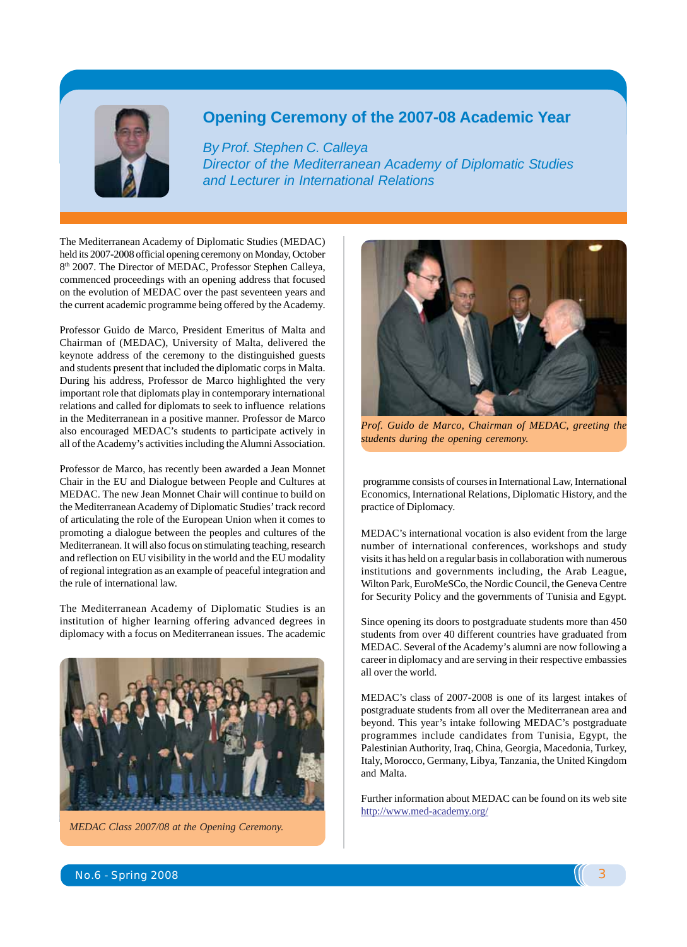

#### **Opening Ceremony of the 2007-08 Academic Year**

*By Prof. Stephen C. Calleya Director of the Mediterranean Academy of Diplomatic Studies and Lecturer in International Relations*

The Mediterranean Academy of Diplomatic Studies (MEDAC) held its 2007-2008 official opening ceremony on Monday, October 8<sup>th</sup> 2007. The Director of MEDAC, Professor Stephen Calleya, commenced proceedings with an opening address that focused on the evolution of MEDAC over the past seventeen years and the current academic programme being offered by the Academy.

Professor Guido de Marco, President Emeritus of Malta and Chairman of (MEDAC), University of Malta, delivered the keynote address of the ceremony to the distinguished guests and students present that included the diplomatic corps in Malta. During his address, Professor de Marco highlighted the very important role that diplomats play in contemporary international relations and called for diplomats to seek to influence relations in the Mediterranean in a positive manner. Professor de Marco also encouraged MEDAC's students to participate actively in all of the Academy's activities including the Alumni Association.

Professor de Marco, has recently been awarded a Jean Monnet Chair in the EU and Dialogue between People and Cultures at MEDAC. The new Jean Monnet Chair will continue to build on the Mediterranean Academy of Diplomatic Studies' track record of articulating the role of the European Union when it comes to promoting a dialogue between the peoples and cultures of the Mediterranean. It will also focus on stimulating teaching, research and reflection on EU visibility in the world and the EU modality of regional integration as an example of peaceful integration and the rule of international law.

The Mediterranean Academy of Diplomatic Studies is an institution of higher learning offering advanced degrees in diplomacy with a focus on Mediterranean issues. The academic



*MEDAC Class 2007/08 at the Opening Ceremony.*



*Prof. Guido de Marco, Chairman of MEDAC, greeting the students during the opening ceremony.*

 programme consists of courses in International Law, International Economics, International Relations, Diplomatic History, and the practice of Diplomacy.

MEDAC's international vocation is also evident from the large number of international conferences, workshops and study visits it has held on a regular basis in collaboration with numerous institutions and governments including, the Arab League, Wilton Park, EuroMeSCo, the Nordic Council, the Geneva Centre for Security Policy and the governments of Tunisia and Egypt.

Since opening its doors to postgraduate students more than 450 students from over 40 different countries have graduated from MEDAC. Several of the Academy's alumni are now following a career in diplomacy and are serving in their respective embassies all over the world.

MEDAC's class of 2007-2008 is one of its largest intakes of postgraduate students from all over the Mediterranean area and beyond. This year's intake following MEDAC's postgraduate programmes include candidates from Tunisia, Egypt, the Palestinian Authority, Iraq, China, Georgia, Macedonia, Turkey, Italy, Morocco, Germany, Libya, Tanzania, the United Kingdom and Malta.

Further information about MEDAC can be found on its web site http://www.med-academy.org/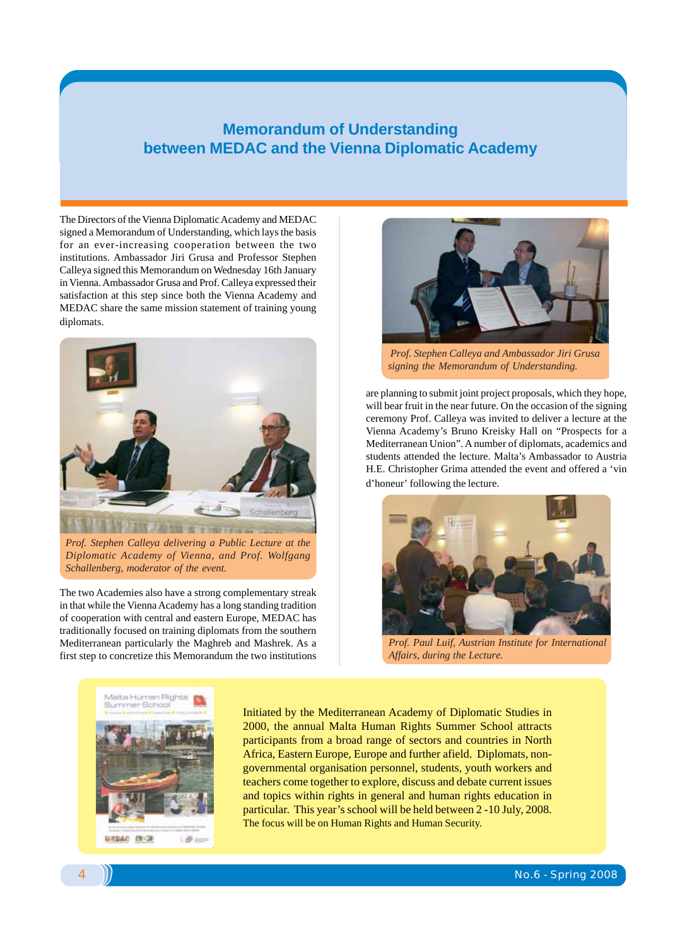#### **Memorandum of Understanding between MEDAC and the Vienna Diplomatic Academy**

The Directors of the Vienna Diplomatic Academy and MEDAC signed a Memorandum of Understanding, which lays the basis for an ever-increasing cooperation between the two institutions. Ambassador Jiri Grusa and Professor Stephen Calleya signed this Memorandum on Wednesday 16th January in Vienna. Ambassador Grusa and Prof. Calleya expressed their satisfaction at this step since both the Vienna Academy and MEDAC share the same mission statement of training young diplomats.



*Prof. Stephen Calleya delivering a Public Lecture at the Diplomatic Academy of Vienna, and Prof. Wolfgang Schallenberg, moderator of the event.*

The two Academies also have a strong complementary streak in that while the Vienna Academy has a long standing tradition of cooperation with central and eastern Europe, MEDAC has traditionally focused on training diplomats from the southern Mediterranean particularly the Maghreb and Mashrek. As a first step to concretize this Memorandum the two institutions



 *Prof. Stephen Calleya and Ambassador Jiri Grusa signing the Memorandum of Understanding.*

are planning to submit joint project proposals, which they hope, will bear fruit in the near future. On the occasion of the signing ceremony Prof. Calleya was invited to deliver a lecture at the Vienna Academy's Bruno Kreisky Hall on "Prospects for a Mediterranean Union". A number of diplomats, academics and students attended the lecture. Malta's Ambassador to Austria H.E. Christopher Grima attended the event and offered a 'vin d'honeur' following the lecture.



*Prof. Paul Luif, Austrian Institute for International Affairs, during the Lecture.*



Initiated by the Mediterranean Academy of Diplomatic Studies in 2000, the annual Malta Human Rights Summer School attracts participants from a broad range of sectors and countries in North Africa, Eastern Europe, Europe and further afield. Diplomats, nongovernmental organisation personnel, students, youth workers and teachers come together to explore, discuss and debate current issues and topics within rights in general and human rights education in particular. This year's school will be held between 2 -10 July, 2008. The focus will be on Human Rights and Human Security.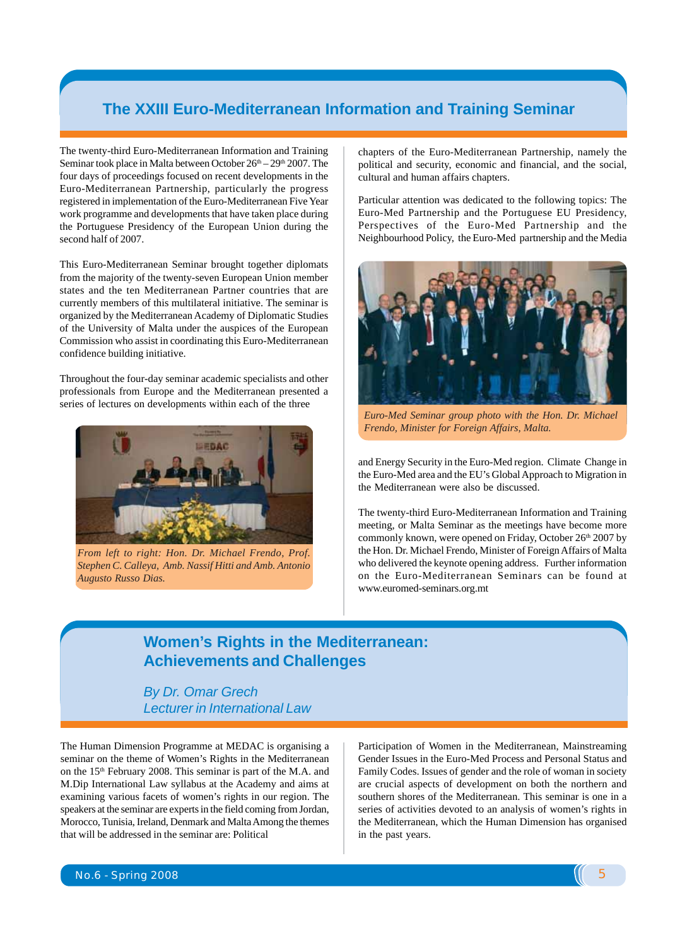#### **The XXIII Euro-Mediterranean Information and Training Seminar**

The twenty-third Euro-Mediterranean Information and Training Seminar took place in Malta between October  $26<sup>th</sup> - 29<sup>th</sup> 2007$ . The four days of proceedings focused on recent developments in the Euro-Mediterranean Partnership, particularly the progress registered in implementation of the Euro-Mediterranean Five Year work programme and developments that have taken place during the Portuguese Presidency of the European Union during the second half of 2007.

This Euro-Mediterranean Seminar brought together diplomats from the majority of the twenty-seven European Union member states and the ten Mediterranean Partner countries that are currently members of this multilateral initiative. The seminar is organized by the Mediterranean Academy of Diplomatic Studies of the University of Malta under the auspices of the European Commission who assist in coordinating this Euro-Mediterranean confidence building initiative.

Throughout the four-day seminar academic specialists and other professionals from Europe and the Mediterranean presented a series of lectures on developments within each of the three



*From left to right: Hon. Dr. Michael Frendo, Prof. Stephen C. Calleya, Amb. Nassif Hitti and Amb. Antonio Augusto Russo Dias.*

chapters of the Euro-Mediterranean Partnership, namely the political and security, economic and financial, and the social, cultural and human affairs chapters.

Particular attention was dedicated to the following topics: The Euro-Med Partnership and the Portuguese EU Presidency, Perspectives of the Euro-Med Partnership and the Neighbourhood Policy, the Euro-Med partnership and the Media



*Euro-Med Seminar group photo with the Hon. Dr. Michael Frendo, Minister for Foreign Affairs, Malta.*

and Energy Security in the Euro-Med region. Climate Change in the Euro-Med area and the EU's Global Approach to Migration in the Mediterranean were also be discussed.

The twenty-third Euro-Mediterranean Information and Training meeting, or Malta Seminar as the meetings have become more commonly known, were opened on Friday, October 26<sup>th</sup> 2007 by the Hon. Dr. Michael Frendo, Minister of Foreign Affairs of Malta who delivered the keynote opening address. Further information on the Euro-Mediterranean Seminars can be found at www.euromed-seminars.org.mt

### **Women's Rights in the Mediterranean: Achievements and Challenges**

*By Dr. Omar Grech Lecturer in International Law*

The Human Dimension Programme at MEDAC is organising a seminar on the theme of Women's Rights in the Mediterranean on the 15<sup>th</sup> February 2008. This seminar is part of the M.A. and M.Dip International Law syllabus at the Academy and aims at examining various facets of women's rights in our region. The speakers at the seminar are experts in the field coming from Jordan, Morocco, Tunisia, Ireland, Denmark and Malta Among the themes that will be addressed in the seminar are: Political

Participation of Women in the Mediterranean, Mainstreaming Gender Issues in the Euro-Med Process and Personal Status and Family Codes. Issues of gender and the role of woman in society are crucial aspects of development on both the northern and southern shores of the Mediterranean. This seminar is one in a series of activities devoted to an analysis of women's rights in the Mediterranean, which the Human Dimension has organised in the past years.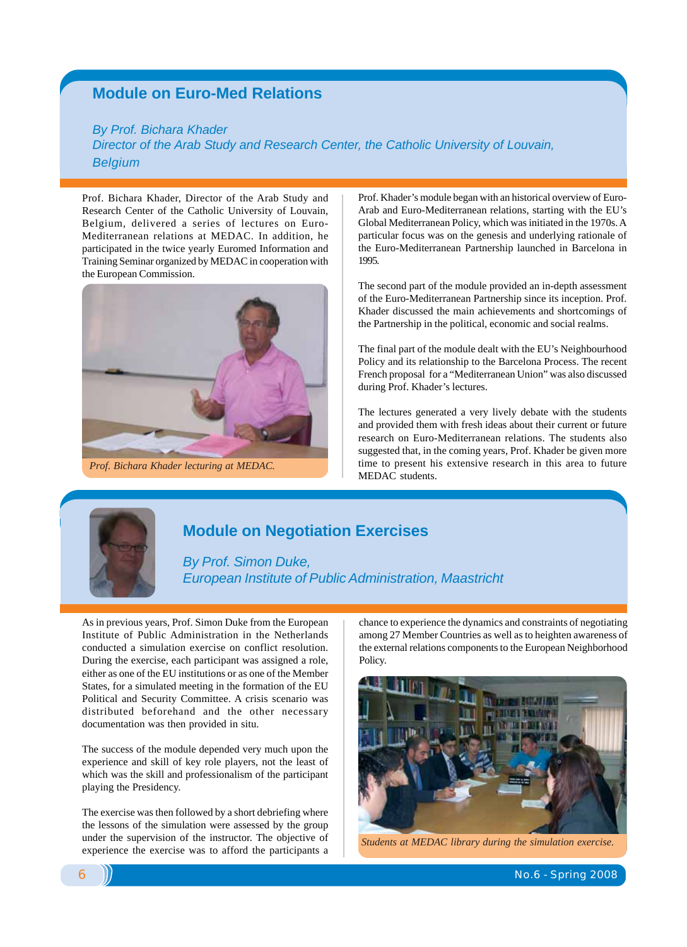#### **Module on Euro-Med Relations**

#### *By Prof. Bichara Khader*

*Director of the Arab Study and Research Center, the Catholic University of Louvain, Belgium*

Prof. Bichara Khader, Director of the Arab Study and Research Center of the Catholic University of Louvain, Belgium, delivered a series of lectures on Euro-Mediterranean relations at MEDAC. In addition, he participated in the twice yearly Euromed Information and Training Seminar organized by MEDAC in cooperation with the European Commission.



*Prof. Bichara Khader lecturing at MEDAC.*

Prof. Khader's module began with an historical overview of Euro-Arab and Euro-Mediterranean relations, starting with the EU's Global Mediterranean Policy, which was initiated in the 1970s. A particular focus was on the genesis and underlying rationale of the Euro-Mediterranean Partnership launched in Barcelona in 1995.

The second part of the module provided an in-depth assessment of the Euro-Mediterranean Partnership since its inception. Prof. Khader discussed the main achievements and shortcomings of the Partnership in the political, economic and social realms.

The final part of the module dealt with the EU's Neighbourhood Policy and its relationship to the Barcelona Process. The recent French proposal for a "Mediterranean Union" was also discussed during Prof. Khader's lectures.

The lectures generated a very lively debate with the students and provided them with fresh ideas about their current or future research on Euro-Mediterranean relations. The students also suggested that, in the coming years, Prof. Khader be given more time to present his extensive research in this area to future MEDAC students.



#### **Module on Negotiation Exercises**

*By Prof. Simon Duke, European Institute of Public Administration, Maastricht*

As in previous years, Prof. Simon Duke from the European Institute of Public Administration in the Netherlands conducted a simulation exercise on conflict resolution. During the exercise, each participant was assigned a role, either as one of the EU institutions or as one of the Member States, for a simulated meeting in the formation of the EU Political and Security Committee. A crisis scenario was distributed beforehand and the other necessary documentation was then provided in situ.

The success of the module depended very much upon the experience and skill of key role players, not the least of which was the skill and professionalism of the participant playing the Presidency.

The exercise was then followed by a short debriefing where the lessons of the simulation were assessed by the group under the supervision of the instructor. The objective of experience the exercise was to afford the participants a students at MEDAC library during the simulation exercise.

chance to experience the dynamics and constraints of negotiating among 27 Member Countries as well as to heighten awareness of the external relations components to the European Neighborhood Policy.

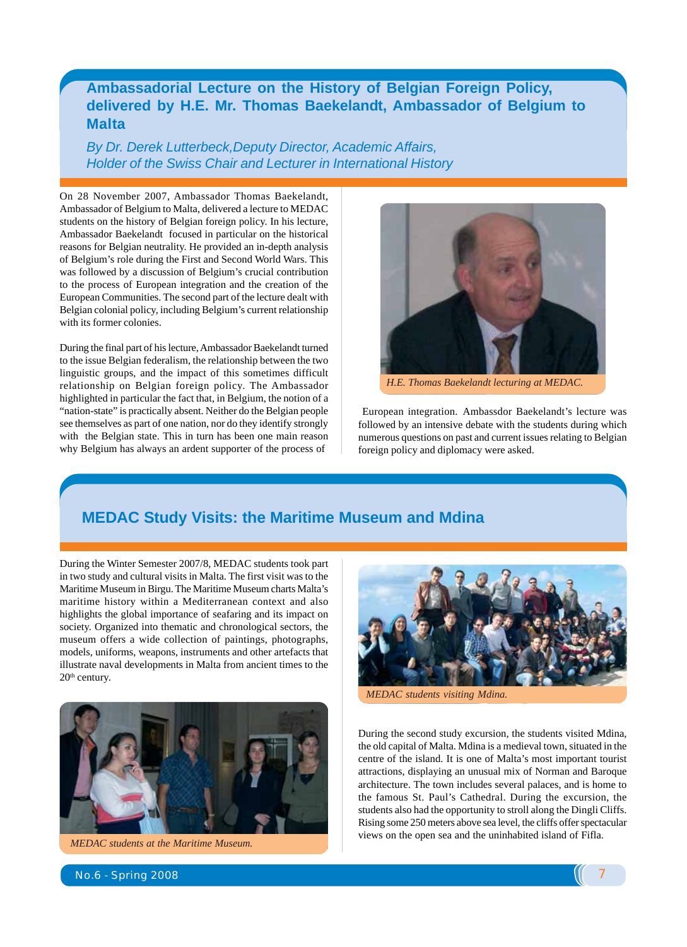#### **Ambassadorial Lecture on the History of Belgian Foreign Policy, delivered by H.E. Mr. Thomas Baekelandt, Ambassador of Belgium to Malta**

*By Dr. Derek Lutterbeck,Deputy Director, Academic Affairs, Holder of the Swiss Chair and Lecturer in International History*

On 28 November 2007, Ambassador Thomas Baekelandt, Ambassador of Belgium to Malta, delivered a lecture to MEDAC students on the history of Belgian foreign policy. In his lecture, Ambassador Baekelandt focused in particular on the historical reasons for Belgian neutrality. He provided an in-depth analysis of Belgium's role during the First and Second World Wars. This was followed by a discussion of Belgium's crucial contribution to the process of European integration and the creation of the European Communities. The second part of the lecture dealt with Belgian colonial policy, including Belgium's current relationship with its former colonies.

During the final part of his lecture, Ambassador Baekelandt turned to the issue Belgian federalism, the relationship between the two linguistic groups, and the impact of this sometimes difficult relationship on Belgian foreign policy. The Ambassador highlighted in particular the fact that, in Belgium, the notion of a "nation-state" is practically absent. Neither do the Belgian people see themselves as part of one nation, nor do they identify strongly with the Belgian state. This in turn has been one main reason why Belgium has always an ardent supporter of the process of



 *H.E. Thomas Baekelandt lecturing at MEDAC.*

 European integration. Ambassdor Baekelandt's lecture was followed by an intensive debate with the students during which numerous questions on past and current issues relating to Belgian foreign policy and diplomacy were asked.

#### **MEDAC Study Visits: the Maritime Museum and Mdina**

During the Winter Semester 2007/8, MEDAC students took part in two study and cultural visits in Malta. The first visit was to the Maritime Museum in Birgu. The Maritime Museum charts Malta's maritime history within a Mediterranean context and also highlights the global importance of seafaring and its impact on society. Organized into thematic and chronological sectors, the museum offers a wide collection of paintings, photographs, models, uniforms, weapons, instruments and other artefacts that illustrate naval developments in Malta from ancient times to the  $20<sup>th</sup>$  century.



*MEDAC students at the Maritime Museum.*



*MEDAC students visiting Mdina.*

During the second study excursion, the students visited Mdina, the old capital of Malta. Mdina is a medieval town, situated in the centre of the island. It is one of Malta's most important tourist attractions, displaying an unusual mix of Norman and Baroque architecture. The town includes several palaces, and is home to the famous St. Paul's Cathedral. During the excursion, the students also had the opportunity to stroll along the Dingli Cliffs. Rising some 250 meters above sea level, the cliffs offer spectacular views on the open sea and the uninhabited island of Fifla.

No.6 - Spring 2008 7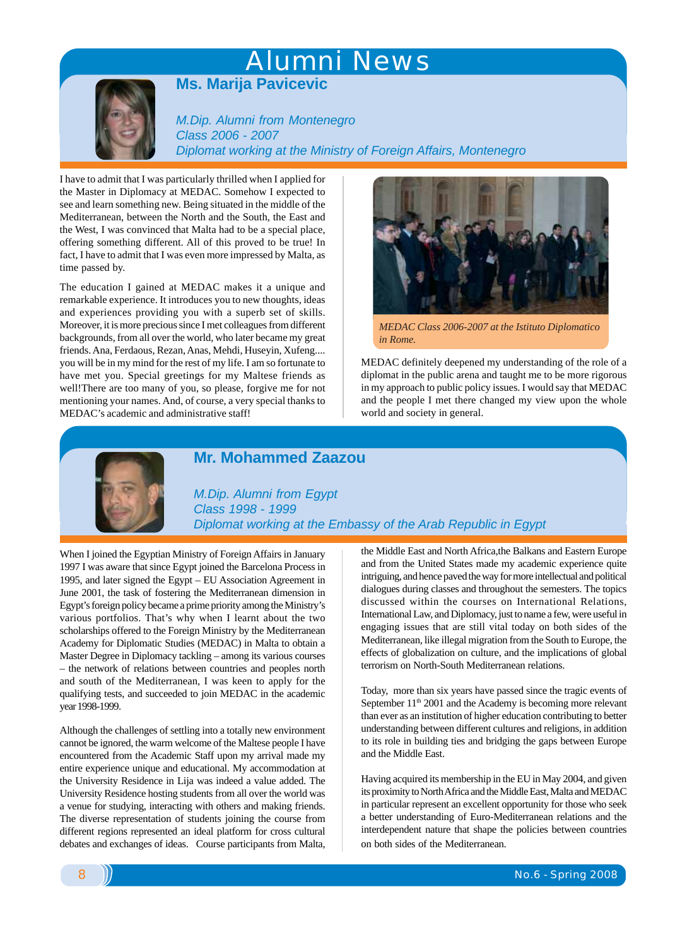# Alumni News



**Ms. Marija Pavicevic**

*M.Dip. Alumni from Montenegro Class 2006 - 2007 Diplomat working at the Ministry of Foreign Affairs, Montenegro*

I have to admit that I was particularly thrilled when I applied for the Master in Diplomacy at MEDAC. Somehow I expected to see and learn something new. Being situated in the middle of the Mediterranean, between the North and the South, the East and the West, I was convinced that Malta had to be a special place, offering something different. All of this proved to be true! In fact, I have to admit that I was even more impressed by Malta, as time passed by.

The education I gained at MEDAC makes it a unique and remarkable experience. It introduces you to new thoughts, ideas and experiences providing you with a superb set of skills. Moreover, it is more precious since I met colleagues from different backgrounds, from all over the world, who later became my great friends. Ana, Ferdaous, Rezan, Anas, Mehdi, Huseyin, Xufeng.... you will be in my mind for the rest of my life. I am so fortunate to have met you. Special greetings for my Maltese friends as well!There are too many of you, so please, forgive me for not mentioning your names. And, of course, a very special thanks to MEDAC's academic and administrative staff!



*MEDAC Class 2006-2007 at the Istituto Diplomatico in Rome.*

MEDAC definitely deepened my understanding of the role of a diplomat in the public arena and taught me to be more rigorous in my approach to public policy issues. I would say that MEDAC and the people I met there changed my view upon the whole world and society in general.



#### **Mr. Mohammed Zaazou**

*M.Dip. Alumni from Egypt Class 1998 - 1999 Diplomat working at the Embassy of the Arab Republic in Egypt*

When I joined the Egyptian Ministry of Foreign Affairs in January 1997 I was aware that since Egypt joined the Barcelona Process in 1995, and later signed the Egypt – EU Association Agreement in June 2001, the task of fostering the Mediterranean dimension in Egypt's foreign policy became a prime priority among the Ministry's various portfolios. That's why when I learnt about the two scholarships offered to the Foreign Ministry by the Mediterranean Academy for Diplomatic Studies (MEDAC) in Malta to obtain a Master Degree in Diplomacy tackling – among its various courses – the network of relations between countries and peoples north and south of the Mediterranean, I was keen to apply for the qualifying tests, and succeeded to join MEDAC in the academic year 1998-1999.

Although the challenges of settling into a totally new environment cannot be ignored, the warm welcome of the Maltese people I have encountered from the Academic Staff upon my arrival made my entire experience unique and educational. My accommodation at the University Residence in Lija was indeed a value added. The University Residence hosting students from all over the world was a venue for studying, interacting with others and making friends. The diverse representation of students joining the course from different regions represented an ideal platform for cross cultural debates and exchanges of ideas. Course participants from Malta,

the Middle East and North Africa,the Balkans and Eastern Europe and from the United States made my academic experience quite intriguing, and hence paved the way for more intellectual and political dialogues during classes and throughout the semesters. The topics discussed within the courses on International Relations, International Law, and Diplomacy, just to name a few, were useful in engaging issues that are still vital today on both sides of the Mediterranean, like illegal migration from the South to Europe, the effects of globalization on culture, and the implications of global terrorism on North-South Mediterranean relations.

Today, more than six years have passed since the tragic events of September  $11<sup>th</sup> 2001$  and the Academy is becoming more relevant than ever as an institution of higher education contributing to better understanding between different cultures and religions, in addition to its role in building ties and bridging the gaps between Europe and the Middle East.

Having acquired its membership in the EU in May 2004, and given its proximity to North Africa and the Middle East, Malta and MEDAC in particular represent an excellent opportunity for those who seek a better understanding of Euro-Mediterranean relations and the interdependent nature that shape the policies between countries on both sides of the Mediterranean.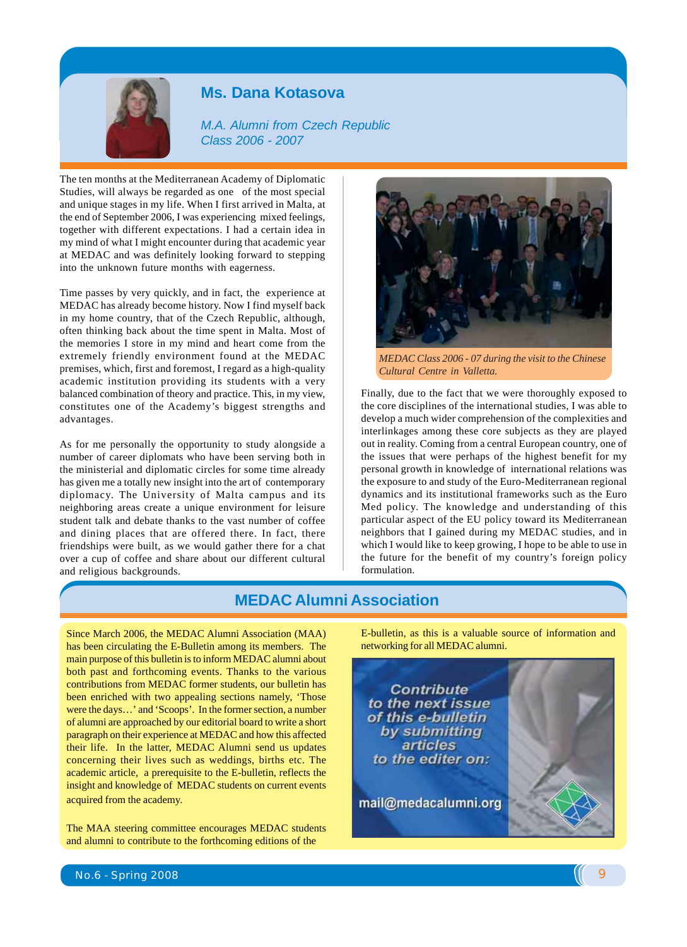

#### **Ms. Dana Kotasova**

*M.A. Alumni from Czech Republic Class 2006 - 2007*

The ten months at the Mediterranean Academy of Diplomatic Studies, will always be regarded as one of the most special and unique stages in my life. When I first arrived in Malta, at the end of September 2006, I was experiencing mixed feelings, together with different expectations. I had a certain idea in my mind of what I might encounter during that academic year at MEDAC and was definitely looking forward to stepping into the unknown future months with eagerness.

Time passes by very quickly, and in fact, the experience at MEDAC has already become history. Now I find myself back in my home country, that of the Czech Republic, although, often thinking back about the time spent in Malta. Most of the memories I store in my mind and heart come from the extremely friendly environment found at the MEDAC premises, which, first and foremost, I regard as a high-quality academic institution providing its students with a very balanced combination of theory and practice. This, in my view, constitutes one of the Academy's biggest strengths and advantages.

As for me personally the opportunity to study alongside a number of career diplomats who have been serving both in the ministerial and diplomatic circles for some time already has given me a totally new insight into the art of contemporary diplomacy. The University of Malta campus and its neighboring areas create a unique environment for leisure student talk and debate thanks to the vast number of coffee and dining places that are offered there. In fact, there friendships were built, as we would gather there for a chat over a cup of coffee and share about our different cultural and religious backgrounds.



*MEDAC Class 2006 - 07 during the visit to the Chinese Cultural Centre in Valletta.*

Finally, due to the fact that we were thoroughly exposed to the core disciplines of the international studies, I was able to develop a much wider comprehension of the complexities and interlinkages among these core subjects as they are played out in reality. Coming from a central European country, one of the issues that were perhaps of the highest benefit for my personal growth in knowledge of international relations was the exposure to and study of the Euro-Mediterranean regional dynamics and its institutional frameworks such as the Euro Med policy. The knowledge and understanding of this particular aspect of the EU policy toward its Mediterranean neighbors that I gained during my MEDAC studies, and in which I would like to keep growing, I hope to be able to use in the future for the benefit of my country's foreign policy formulation.

#### **MEDAC Alumni Association**

Since March 2006, the MEDAC Alumni Association (MAA) has been circulating the E-Bulletin among its members. The main purpose of this bulletin is to inform MEDAC alumni about both past and forthcoming events. Thanks to the various contributions from MEDAC former students, our bulletin has been enriched with two appealing sections namely, 'Those were the days…' and 'Scoops'. In the former section, a number of alumni are approached by our editorial board to write a short paragraph on their experience at MEDAC and how this affected their life. In the latter, MEDAC Alumni send us updates concerning their lives such as weddings, births etc. The academic article, a prerequisite to the E-bulletin, reflects the insight and knowledge of MEDAC students on current events acquired from the academy.

The MAA steering committee encourages MEDAC students and alumni to contribute to the forthcoming editions of the

E-bulletin, as this is a valuable source of information and networking for all MEDAC alumni.

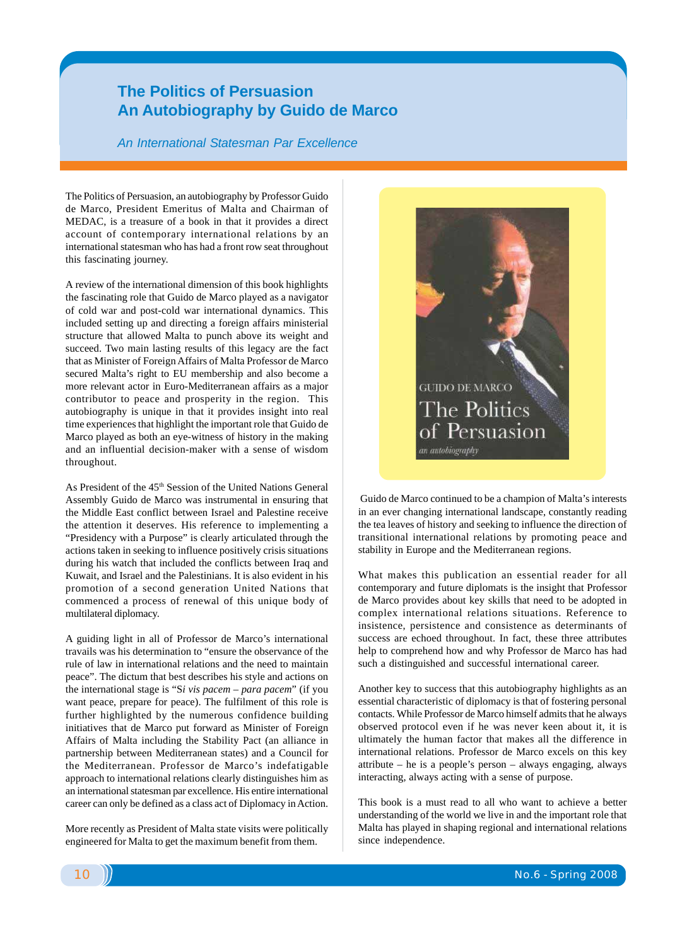#### **The Politics of Persuasion An Autobiography by Guido de Marco**

*An International Statesman Par Excellence*

The Politics of Persuasion, an autobiography by Professor Guido de Marco, President Emeritus of Malta and Chairman of MEDAC, is a treasure of a book in that it provides a direct account of contemporary international relations by an international statesman who has had a front row seat throughout this fascinating journey.

A review of the international dimension of this book highlights the fascinating role that Guido de Marco played as a navigator of cold war and post-cold war international dynamics. This included setting up and directing a foreign affairs ministerial structure that allowed Malta to punch above its weight and succeed. Two main lasting results of this legacy are the fact that as Minister of Foreign Affairs of Malta Professor de Marco secured Malta's right to EU membership and also become a more relevant actor in Euro-Mediterranean affairs as a major contributor to peace and prosperity in the region. This autobiography is unique in that it provides insight into real time experiences that highlight the important role that Guido de Marco played as both an eye-witness of history in the making and an influential decision-maker with a sense of wisdom throughout.

As President of the 45<sup>th</sup> Session of the United Nations General Assembly Guido de Marco was instrumental in ensuring that the Middle East conflict between Israel and Palestine receive the attention it deserves. His reference to implementing a "Presidency with a Purpose" is clearly articulated through the actions taken in seeking to influence positively crisis situations during his watch that included the conflicts between Iraq and Kuwait, and Israel and the Palestinians. It is also evident in his promotion of a second generation United Nations that commenced a process of renewal of this unique body of multilateral diplomacy.

A guiding light in all of Professor de Marco's international travails was his determination to "ensure the observance of the rule of law in international relations and the need to maintain peace". The dictum that best describes his style and actions on the international stage is "S*i vis pacem – para pacem*" (if you want peace, prepare for peace). The fulfilment of this role is further highlighted by the numerous confidence building initiatives that de Marco put forward as Minister of Foreign Affairs of Malta including the Stability Pact (an alliance in partnership between Mediterranean states) and a Council for the Mediterranean. Professor de Marco's indefatigable approach to international relations clearly distinguishes him as an international statesman par excellence. His entire international career can only be defined as a class act of Diplomacy in Action.

More recently as President of Malta state visits were politically engineered for Malta to get the maximum benefit from them.



 Guido de Marco continued to be a champion of Malta's interests in an ever changing international landscape, constantly reading the tea leaves of history and seeking to influence the direction of transitional international relations by promoting peace and stability in Europe and the Mediterranean regions.

What makes this publication an essential reader for all contemporary and future diplomats is the insight that Professor de Marco provides about key skills that need to be adopted in complex international relations situations. Reference to insistence, persistence and consistence as determinants of success are echoed throughout. In fact, these three attributes help to comprehend how and why Professor de Marco has had such a distinguished and successful international career.

Another key to success that this autobiography highlights as an essential characteristic of diplomacy is that of fostering personal contacts. While Professor de Marco himself admits that he always observed protocol even if he was never keen about it, it is ultimately the human factor that makes all the difference in international relations. Professor de Marco excels on this key attribute – he is a people's person – always engaging, always interacting, always acting with a sense of purpose.

This book is a must read to all who want to achieve a better understanding of the world we live in and the important role that Malta has played in shaping regional and international relations since independence.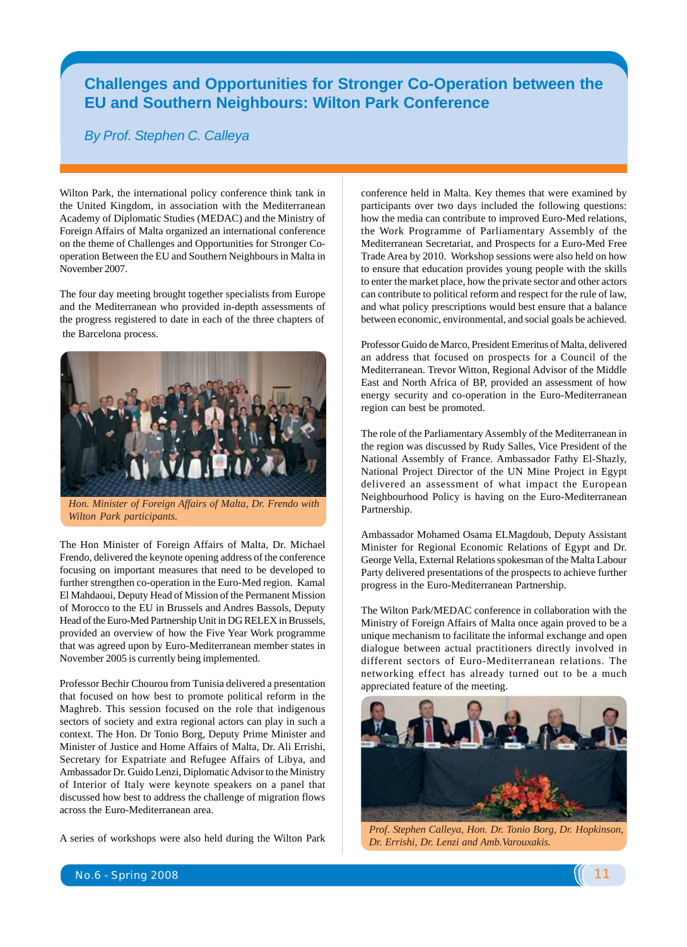## Alumni Ne **Challenges and Opportunities for Stronger Co-Operation between the EU and Southern Neighbours: Wilton Park Conference**

#### *By Prof. Stephen C. Calleya*

Wilton Park, the international policy conference think tank in the United Kingdom, in association with the Mediterranean Academy of Diplomatic Studies (MEDAC) and the Ministry of Foreign Affairs of Malta organized an international conference on the theme of Challenges and Opportunities for Stronger Cooperation Between the EU and Southern Neighbours in Malta in November 2007.

The four day meeting brought together specialists from Europe and the Mediterranean who provided in-depth assessments of the progress registered to date in each of the three chapters of the Barcelona process.



*Hon. Minister of Foreign Affairs of Malta, Dr. Frendo with Wilton Park participants.*

The Hon Minister of Foreign Affairs of Malta, Dr. Michael Frendo, delivered the keynote opening address of the conference focusing on important measures that need to be developed to further strengthen co-operation in the Euro-Med region. Kamal El Mahdaoui, Deputy Head of Mission of the Permanent Mission of Morocco to the EU in Brussels and Andres Bassols, Deputy Head of the Euro-Med Partnership Unit in DG RELEX in Brussels, provided an overview of how the Five Year Work programme that was agreed upon by Euro-Mediterranean member states in November 2005 is currently being implemented.

Professor Bechir Chourou from Tunisia delivered a presentation that focused on how best to promote political reform in the Maghreb. This session focused on the role that indigenous sectors of society and extra regional actors can play in such a context. The Hon. Dr Tonio Borg, Deputy Prime Minister and Minister of Justice and Home Affairs of Malta, Dr. Ali Errishi, Secretary for Expatriate and Refugee Affairs of Libya, and Ambassador Dr. Guido Lenzi, Diplomatic Advisor to the Ministry of Interior of Italy were keynote speakers on a panel that discussed how best to address the challenge of migration flows across the Euro-Mediterranean area.

A series of workshops were also held during the Wilton Park

conference held in Malta. Key themes that were examined by participants over two days included the following questions: how the media can contribute to improved Euro-Med relations, the Work Programme of Parliamentary Assembly of the Mediterranean Secretariat, and Prospects for a Euro-Med Free Trade Area by 2010. Workshop sessions were also held on how to ensure that education provides young people with the skills to enter the market place, how the private sector and other actors can contribute to political reform and respect for the rule of law, and what policy prescriptions would best ensure that a balance between economic, environmental, and social goals be achieved.

Professor Guido de Marco, President Emeritus of Malta, delivered an address that focused on prospects for a Council of the Mediterranean. Trevor Witton, Regional Advisor of the Middle East and North Africa of BP, provided an assessment of how energy security and co-operation in the Euro-Mediterranean region can best be promoted.

The role of the Parliamentary Assembly of the Mediterranean in the region was discussed by Rudy Salles, Vice President of the National Assembly of France. Ambassador Fathy El-Shazly, National Project Director of the UN Mine Project in Egypt delivered an assessment of what impact the European Neighbourhood Policy is having on the Euro-Mediterranean Partnership.

Ambassador Mohamed Osama ELMagdoub, Deputy Assistant Minister for Regional Economic Relations of Egypt and Dr. George Vella, External Relations spokesman of the Malta Labour Party delivered presentations of the prospects to achieve further progress in the Euro-Mediterranean Partnership.

The Wilton Park/MEDAC conference in collaboration with the Ministry of Foreign Affairs of Malta once again proved to be a unique mechanism to facilitate the informal exchange and open dialogue between actual practitioners directly involved in different sectors of Euro-Mediterranean relations. The networking effect has already turned out to be a much appreciated feature of the meeting.



*Prof. Stephen Calleya, Hon. Dr. Tonio Borg, Dr. Hopkinson, Dr. Errishi, Dr. Lenzi and Amb.Varouxakis.*